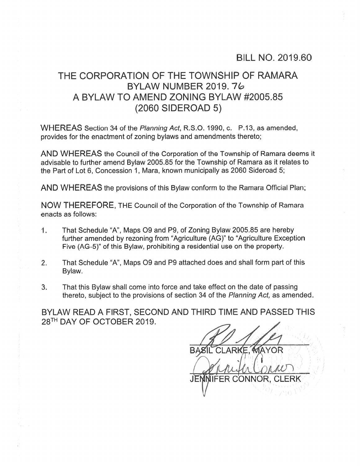## BILL NO. 2019.60

## THE CORPORATION OF THE TOWNSHIP OF RAMARA BYLAW NUMBER 2019. 7 A BYLAW TO AMEND ZONING BYLAW #2005.85 (2060 SIDEROAD 5)

WHEREAS Section 34 of the Planning Act, R.S.O. 1990, c. P.13, as amended, provides for the enactment of zoning bylaws and amendments thereto;

AND WHEREAS the Council of the Corporation of the Township of Ramara deems it advisable to further amend Bylaw 2005.85 for the Township of Ramara as it relates to the Part of Lot 6, Concession 1, Mara, known municipally as 2060 Sideroad 5;

AND WHEREAS the provisions of this Bylaw conform to the Ramara Official Plan;

NOW THEREFORE, THE Council of the Corporation of the Township of Ramara enacts as follows:

- 1. That Schedule "A", Maps O9 and P9, of Zoning Bylaw 2005.85 are hereby further amended by rezoning from "Agriculture (AG)" to "Agriculture Exception Five (AG-5)" of this Bylaw, prohibiting <sup>a</sup> residential use on the property.
- 2. That Schedule "A", Maps 09 and P9 attached does and shall form par<sup>t</sup> of this Bylaw.
- 3. That this Bylaw shall come into force and take effect on the date of passing thereto, subject to the provisions of section 34 of the Planning Act, as amended.

BYLAW READ A FIRST, SECOND AND THIRD TIME AND PASSED THIS 28TH DAY OF OCTOBER 2019.

**MAYOR** : 3,1,5 Ib3, 3 Canforconner JEMMIFER CONNOR, CLERK  $\sqrt{2^{1/2} \sqrt{10^{12}}}$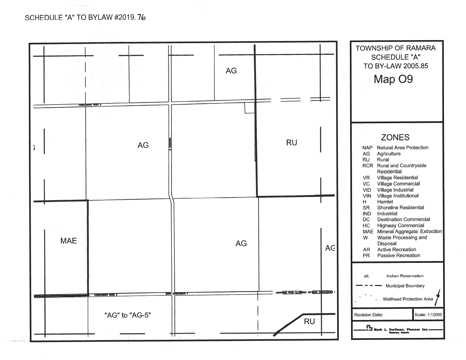SCHEDULE "A" TO BYLAW #2019.76